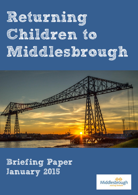# **Returning Children to Middlesbrough**



# **Briefing Paper January 2015**

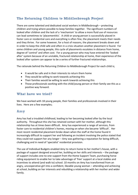## **The Returning Children to Middlesbrough Project**

There are some talented and dedicated social workers in Middlesbrough – protecting children and trying where possible to keep families together. The significant numbers of looked after children and the lack of a 'mechanism' to allow a more fluid use of resources can lead sometimes to 'placementitis'. A child or young person is successfully placed in foster care or residential care and everything is often fine, the placement meets their needs and they thrive. For some however, for a host of reasons, the placement breaks down and in order to keep the child safe and often in a crisis situation another placement is found. For some children and young people, this cycle of placements escalates in distance from home, degree of 'control' and often cost. For a young person who may have entered the 'looked after' system because of an unstable, fractured relationship at home, their experience of the looked after system can appear to be a series of further fractured relationships.

The rationale behind the Returning Children to Middlesbrough Project for each child is;

- It would be safe and in their interests to return them home
- They would be willing to work towards achieving this
- Their families would be willing to work towards achieving this
- Those professionals working with the child/young person or their family see this as a positive way forward.

#### **What have we tried?**

We have worked with 18 young people, their families and professionals involved in their lives. Here are a few examples;

### **Amy**

Amy has had a troubled childhood, leading to her becoming looked after by the local authority. Throughout this she has retained contact with her mother, although this relationship has at times been difficult. Amy has experienced a range of services, from foster care to residential children's homes, moving on when she became 'difficult'. Her most recent residential placement broke down when the staff at the home found it increasingly difficult to support her and following an incident involving the police stated that they could not support her any longer – Amy was gathering a reputation for being difficult, challenging and in need of 'specialist' residential provision.

The use of Individual Budgets enabled Amy to return home to her mother's house, with a package of support designed around her, building on her skills and interests – the package of support includes one-to-one support from the Home Support Team, purchasing horse riding equipment to enable her to take advantage of 'free' support at a local stables and incentives to attend (and walk to) school. 10 months on Amy has transformed from an angry, uncooperative girl into a confident, likeable young woman – attending and achieving at school, building on her interests and rebuilding a relationship with her mother and wider family.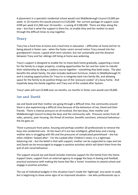A placement in a specialist residential school would cost Middlesbrough Council £3,000 per week. In 10 months this would amount to £120,000. Her current package of support costs £299 per week £11,960 over 10 months – a saving of £108,040. There are blips along the way – but that is what the support is there for, to enable Amy and her mother to work through the difficult times to stay together.

#### **Tracy**

Tracy has a hard time at home and a hard time in education – difficulties at home led her to being placed in foster care - when the foster carers served notice Tracy moved into her grandparent's house, a good short term solution, but not sustainable and the distance between Tracy and her siblings still living at home was widening.

Tracy's support is designed to enable her to move back home gradually, supporting a move for the family to a larger property, creating opportunities for her and her sister to rebuild their relationship by doing a cookery course together - something they both enjoy. The plan benefits the whole family, the plan includes bedroom furniture, tickets to Middlesbrough FC and is creating opportunities for Tracy to re integrate back into family life, and allowing space for the family to do positive things out of the 'pressure cooker' of a busy home. And hopefully keep the family together and Tracy out of the Looked after System.

Tracy's plan will cost £2,848 over six months, six months in foster care would cost £9,600.

#### **Joe and David**

Joe and David and their mother are going through a difficult time, the community around them is also experiencing a difficult time because of the behaviour of Joe, David and their friends. There is intense pressure on all involved, the two boys, their mother and Middlesbrough Council to keep the boys and the community safe. Pressure comes from all sides, poverty, poor housing, the threat of eviction, benefits sanctions, antisocial behaviour the list goes on.

There is pressure from police, housing and perhaps another 20 professionals to remove the boys into residential care. At the heart of it are two intelligent, gifted boys and a loving mother who is struggling with life and the pressures of complicated parenthood – she has other children 'looked after'. For the Looked after Children's team, it is a tightrope balancing risk – but the belief is that with support, mother can be supported to cope and Joe and David can be encouraged to engage in positive activities which will divert them from the pull of anti social behaviour.

The support around Joe and David includes intensive support for the family from the Home Support team, support from an external agency to engage the boys in boxing and football, practical assistance with making the home feel like a 'home' incentives to attend school and engage in positive activities.

The use of individual budgets in this situation hasn't made the 'tightrope' any easier to walk, but is beginning to show some signs of an improved situation – Joe who professionals say is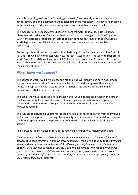'capable of getting to Oxford or Cambridge University' has recently extended his short school day by one and a half hours and is attending more frequently. The boys are engaging in the activities provided and relationships with professionals are being rebuilt.

The manager of the Looked After Children's Team estimates that a specialist residential – placement with education for Joe and David would cost in the region of £800,000 per year. Even if the package of support for them to remain at home costs half of that, it would be worth trying, and if we fail and the boys go into care – we can at least say we tried everything.

Previously this work was supported via Middlesbrough Council's membership of In Control. For 2014/15 we have contracted with New Prospects Association (Tim Keilty) to support the work. Since April 2014 we have spent £3,200 on support from New Prospects – less than a week's charge for a young person in residential care, this is not 'extra' cost – it comes out of the placement budget.

#### **What have we learned?**

The approach works well if we stick to the rationale above; plans which have not come to fruition have involved situations where families did not particularly want their children home. The approach is not suited to 'crisis' situations - as careful, detailed planning is difficult when 28 days notice is served.

The use of individual budgets is not a magic wand - Young people are placed in the care of the local authority for a host of reasons, often complicated situations for complicated children, the use of Individual Budgets does allow for different solutions but does not remove complexity.

The success of Individual budgets for looked after children relies on buy in from all involved, and a hands on approach to making plans a reality, we have learned that Social Workers are too busy to spend time on the practicalities of individual plans, which can lead to plans stalling.

Jill Blackwood, Team Manager, says of the returning Children to Middlesbrough Pilot;

*"I was sceptical at first, but the approach adds value to what we do. The aim of children's services is to keep children at home wherever possible. This pilot helps us do that, coming up with creative solutions and makes us think differently about placements and the use of our budget. If we sometimes spend £6000 per week on a placement for a young person miles from their home, why wouldn't we consider spending money to keep them at, or closer to, home? If we do this right it's a win-win situation, in terms of outcomes for young people and use of stretched council budgets"*